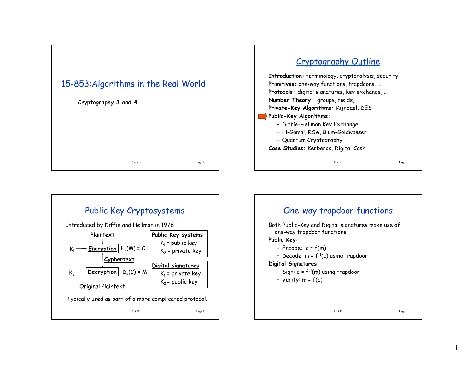





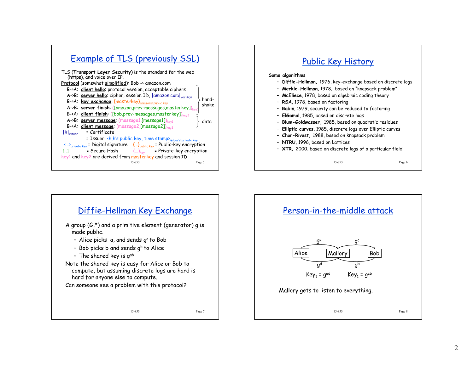

# Public Key History

#### **Some algorithms**

- **Diffie-Hellman,** 1976, key-exchange based on discrete logs
- **Merkle-Hellman**, 1978, based on "knapsack problem"
- **McEliece**, 1978, based on algebraic coding theory
- **RSA**, 1978, based on factoring
- **Rabin**, 1979, security can be reduced to factoring
- **ElGamal**, 1985, based on discrete logs
- **Blum-Goldwasser,** 1985, based on quadratic residues
- **Elliptic curves**, 1985, discrete logs over Elliptic curves
- **Chor-Rivest,** 1988, based on knapsack problem
- **NTRU**, 1996, based on Lattices
- **XTR,** 2000, based on discrete logs of a particular field

15-853 Page 6



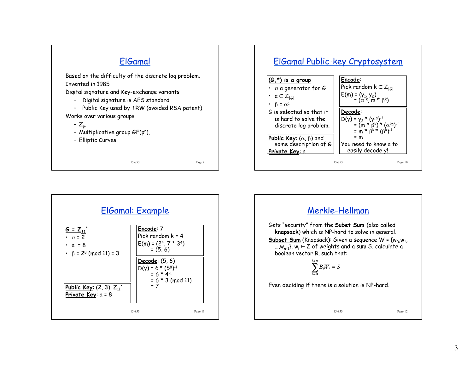



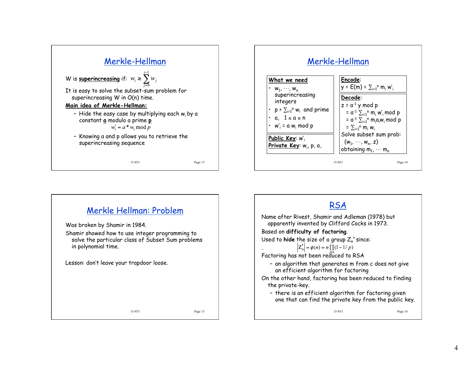





4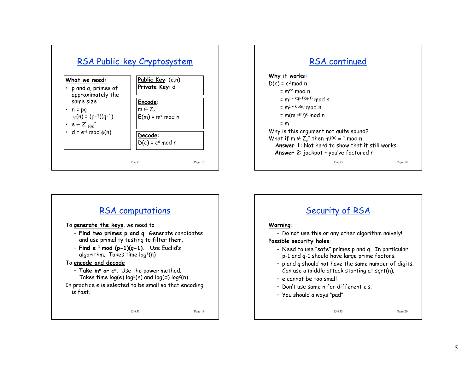





# Security of RSA

#### **Warning**:

– Do not use this or any other algorithm naively!

### **Possible security holes**:

- Need to use "safe" primes p and q. In particular p-1 and q-1 should have large prime factors.
- p and q should not have the same number of digits. Can use a middle attack starting at sqrt(n).
- e cannot be too small
- Don't use same n for different e's.
- You should always "pad"

#### 15-853 Page 20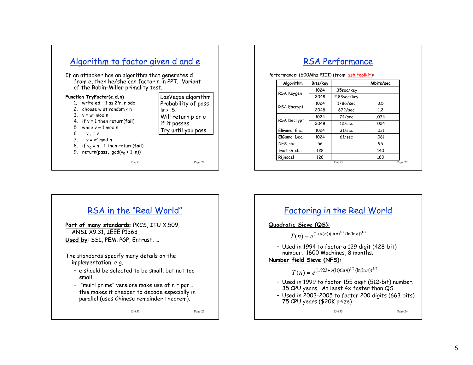

## RSA Performance

Performance: (600Mhz PIII) (from: ssh toolkit):

| Algorithm          | Bits/key |             | Mbits/sec |
|--------------------|----------|-------------|-----------|
| RSA Keygen         | 1024     | .35sec/key  |           |
|                    | 2048     | 2.83sec/key |           |
| <b>RSA Encrypt</b> | 1024     | 1786/sec    | 3.5       |
|                    | 2048     | 672/sec     | 1.2       |
| RSA Decrypt        | 1024     | 74/sec      | .074      |
|                    | 2048     | 12/sec      | .024      |
| ElGamal Enc.       | 1024     | 31/sec      | .031      |
| ElGamal Dec.       | 1024     | 61/sec      | .061      |
| DES-cbc            | 56       |             | 95        |
| twofish-cbc        | 128      |             | 140       |
| Rijndael           | 128      |             | 180       |

# RSA in the "Real World"

**Part of many standards**: PKCS, ITU X.509, ANSI X9.31, IEEE P1363 **Used by**: SSL, PEM, PGP, Entrust, …

The standards specify many details on the implementation, e.g.

- e should be selected to be small, but not too small
- "multi prime" versions make use of n = pqr… this makes it cheaper to decode especially in parallel (uses Chinese remainder theorem).

15-853 Page 23

## Factoring in the Real World

**Quadratic Sieve (QS):** 

 $T(n) = e^{(1+o(n))(\ln n)^{1/2}(\ln(\ln n))^{1/2}}$ 

– Used in 1994 to factor a 129 digit (428-bit) number. 1600 Machines, 8 months.

### **Number field Sieve (NFS):**

 $T(n) = e^{(1.923 + o(1))(\ln n)^{1/3}(\ln(\ln n))^{2/3}}$ 

- Used in 1999 to factor 155 digit (512-bit) number. 35 CPU years. At least 4x faster than QS
- Used in 2003-2005 to factor 200 digits (663 bits) 75 CPU years (\$20K prize)

15-853 Page 24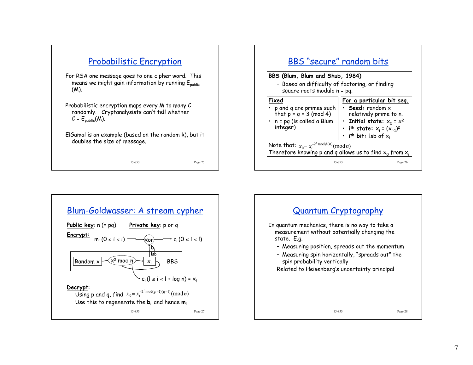





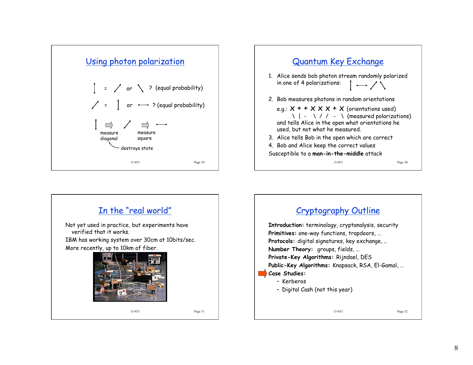